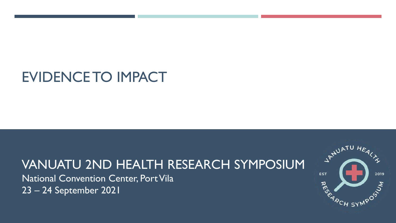## EVIDENCE TO IMPACT

## VANUATU 2ND HEALTH RESEARCH SYMPOSIUM

National Convention Center, Port Vila 23 – 24 September 2021

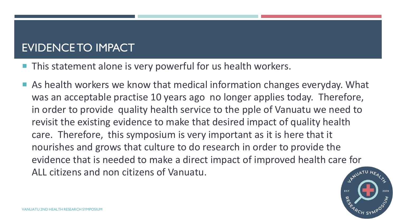## EVIDENCE TO IMPACT

- This statement alone is very powerful for us health workers.
- As health workers we know that medical information changes everyday. What was an acceptable practise 10 years ago no longer applies today. Therefore, in order to provide quality health service to the pple of Vanuatu we need to revisit the existing evidence to make that desired impact of quality health care. Therefore, this symposium is very important as it is here that it nourishes and grows that culture to do research in order to provide the evidence that is needed to make a direct impact of improved health care for ALL citizens and non citizens of Vanuatu.

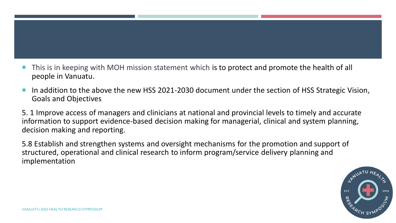- This is in keeping with MOH mission statement which is to protect and promote the health of all people in Vanuatu.
- In addition to the above the new HSS 2021-2030 document under the section of HSS Strategic Vision, Goals and Objectives

5. 1 Improve access of managers and clinicians at national and provincial levels to timely and accurate information to support evidence-based decision making for managerial, clinical and system planning, decision making and reporting.

5.8 Establish and strengthen systems and oversight mechanisms for the promotion and support of structured, operational and clinical research to inform program/service delivery planning and implementation